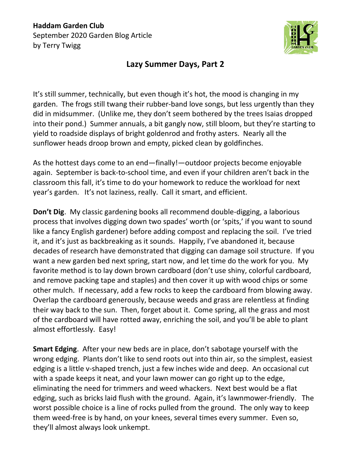**Haddam Garden Club** September 2020 Garden Blog Article by Terry Twigg



## **Lazy Summer Days, Part 2**

It's still summer, technically, but even though it's hot, the mood is changing in my garden. The frogs still twang their rubber-band love songs, but less urgently than they did in midsummer. (Unlike me, they don't seem bothered by the trees Isaias dropped into their pond.) Summer annuals, a bit gangly now, still bloom, but they're starting to yield to roadside displays of bright goldenrod and frothy asters. Nearly all the sunflower heads droop brown and empty, picked clean by goldfinches.

As the hottest days come to an end—finally!—outdoor projects become enjoyable again. September is back-to-school time, and even if your children aren't back in the classroom this fall, it's time to do your homework to reduce the workload for next year's garden. It's not laziness, really. Call it smart, and efficient.

**Don't Dig**. My classic gardening books all recommend double-digging, a laborious process that involves digging down two spades' worth (or 'spits,' if you want to sound like a fancy English gardener) before adding compost and replacing the soil. I've tried it, and it's just as backbreaking as it sounds. Happily, I've abandoned it, because decades of research have demonstrated that digging can damage soil structure. If you want a new garden bed next spring, start now, and let time do the work for you. My favorite method is to lay down brown cardboard (don't use shiny, colorful cardboard, and remove packing tape and staples) and then cover it up with wood chips or some other mulch. If necessary, add a few rocks to keep the cardboard from blowing away. Overlap the cardboard generously, because weeds and grass are relentless at finding their way back to the sun. Then, forget about it. Come spring, all the grass and most of the cardboard will have rotted away, enriching the soil, and you'll be able to plant almost effortlessly. Easy!

**Smart Edging**. After your new beds are in place, don't sabotage yourself with the wrong edging. Plants don't like to send roots out into thin air, so the simplest, easiest edging is a little v-shaped trench, just a few inches wide and deep. An occasional cut with a spade keeps it neat, and your lawn mower can go right up to the edge, eliminating the need for trimmers and weed whackers. Next best would be a flat edging, such as bricks laid flush with the ground. Again, it's lawnmower-friendly. The worst possible choice is a line of rocks pulled from the ground. The only way to keep them weed-free is by hand, on your knees, several times every summer. Even so, they'll almost always look unkempt.